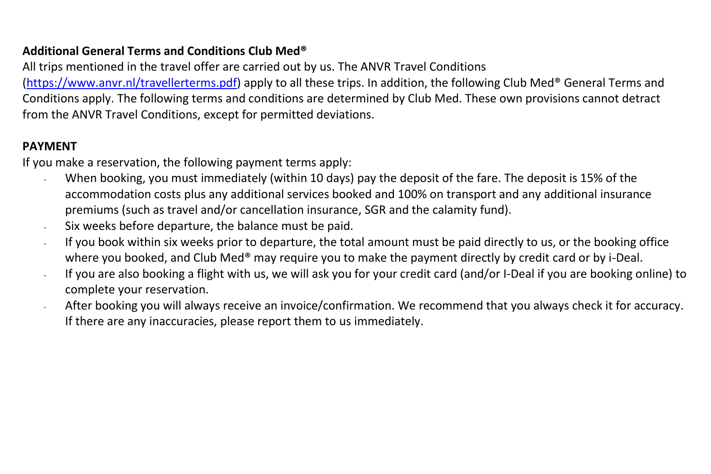## **Additional General Terms and Conditions Club Med®**

All trips mentioned in the travel offer are carried out by us. The ANVR Travel Conditions

[\(https://www.anvr.nl/travellerterms.pdf\)](https://www.anvr.nl/travellerterms.pdf) apply to all these trips. In addition, the following Club Med® General Terms and Conditions apply. The following terms and conditions are determined by Club Med. These own provisions cannot detract from the ANVR Travel Conditions, except for permitted deviations.

## **PAYMENT**

If you make a reservation, the following payment terms apply:

- When booking, you must immediately (within 10 days) pay the deposit of the fare. The deposit is 15% of the accommodation costs plus any additional services booked and 100% on transport and any additional insurance premiums (such as travel and/or cancellation insurance, SGR and the calamity fund).
- Six weeks before departure, the balance must be paid.
- If you book within six weeks prior to departure, the total amount must be paid directly to us, or the booking office where you booked, and Club Med<sup>®</sup> may require you to make the payment directly by credit card or by i-Deal.
- If you are also booking a flight with us, we will ask you for your credit card (and/or I-Deal if you are booking online) to complete your reservation.
- After booking you will always receive an invoice/confirmation. We recommend that you always check it for accuracy. If there are any inaccuracies, please report them to us immediately.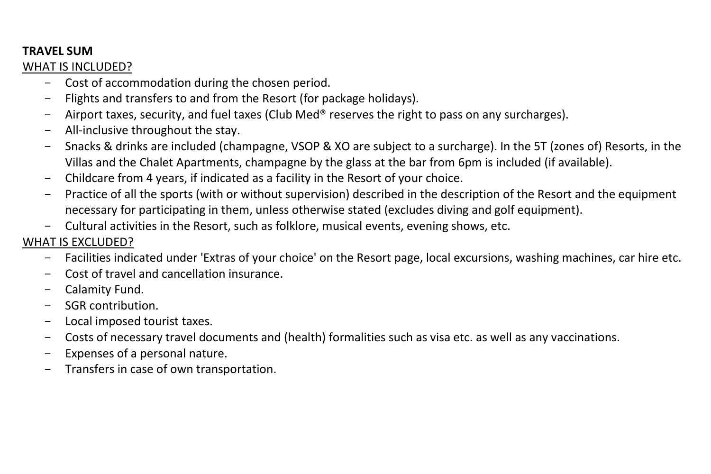## **TRAVEL SUM**

## WHAT IS INCLUDED?

- Cost of accommodation during the chosen period.
- Flights and transfers to and from the Resort (for package holidays).
- Airport taxes, security, and fuel taxes (Club Med<sup>®</sup> reserves the right to pass on any surcharges).
- All-inclusive throughout the stay.
- Snacks & drinks are included (champagne, VSOP & XO are subject to a surcharge). In the 5T (zones of) Resorts, in the Villas and the Chalet Apartments, champagne by the glass at the bar from 6pm is included (if available).
- Childcare from 4 years, if indicated as a facility in the Resort of your choice.
- Practice of all the sports (with or without supervision) described in the description of the Resort and the equipment necessary for participating in them, unless otherwise stated (excludes diving and golf equipment).
- Cultural activities in the Resort, such as folklore, musical events, evening shows, etc.

# WHAT IS EXCLUDED?

- Facilities indicated under 'Extras of your choice' on the Resort page, local excursions, washing machines, car hire etc.
- Cost of travel and cancellation insurance.
- Calamity Fund.
- SGR contribution.
- Local imposed tourist taxes.
- Costs of necessary travel documents and (health) formalities such as visa etc. as well as any vaccinations.
- Expenses of a personal nature.
- Transfers in case of own transportation.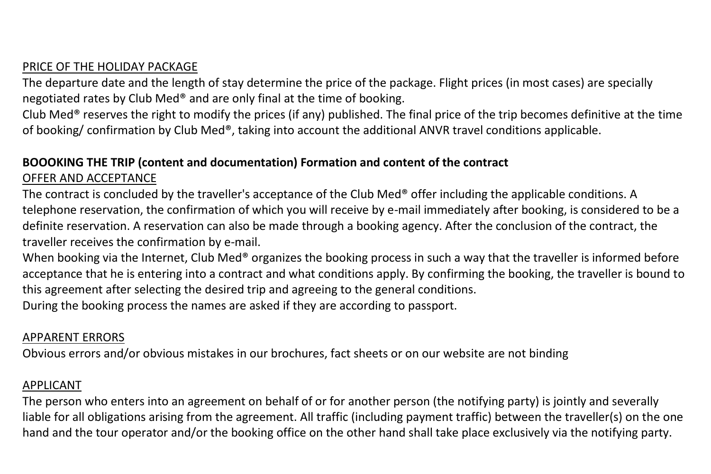## PRICE OF THE HOLIDAY PACKAGE

The departure date and the length of stay determine the price of the package. Flight prices (in most cases) are specially negotiated rates by Club Med® and are only final at the time of booking.

Club Med<sup>®</sup> reserves the right to modify the prices (if any) published. The final price of the trip becomes definitive at the time of booking/ confirmation by Club Med®, taking into account the additional ANVR travel conditions applicable.

### **BOOOKING THE TRIP (content and documentation) Formation and content of the contract** OFFER AND ACCEPTANCE

The contract is concluded by the traveller's acceptance of the Club Med® offer including the applicable conditions. A telephone reservation, the confirmation of which you will receive by e-mail immediately after booking, is considered to be a definite reservation. A reservation can also be made through a booking agency. After the conclusion of the contract, the traveller receives the confirmation by e-mail.

When booking via the Internet, Club Med® organizes the booking process in such a way that the traveller is informed before acceptance that he is entering into a contract and what conditions apply. By confirming the booking, the traveller is bound to this agreement after selecting the desired trip and agreeing to the general conditions.

During the booking process the names are asked if they are according to passport.

# APPARENT ERRORS

Obvious errors and/or obvious mistakes in our brochures, fact sheets or on our website are not binding

## APPLICANT

The person who enters into an agreement on behalf of or for another person (the notifying party) is jointly and severally liable for all obligations arising from the agreement. All traffic (including payment traffic) between the traveller(s) on the one hand and the tour operator and/or the booking office on the other hand shall take place exclusively via the notifying party.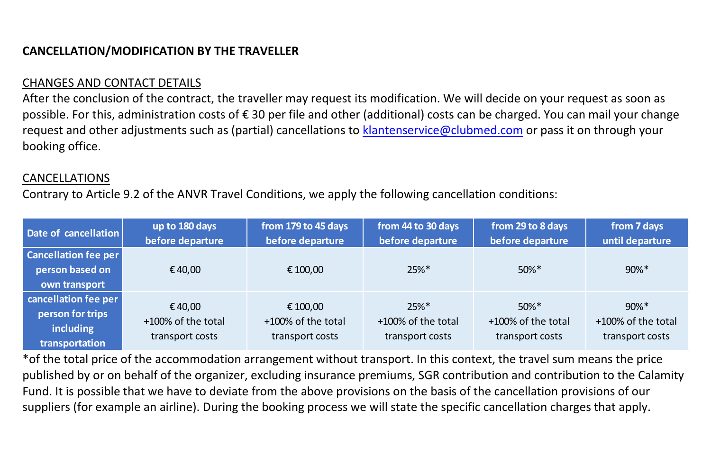# **CANCELLATION/MODIFICATION BY THE TRAVELLER**

# CHANGES AND CONTACT DETAILS

After the conclusion of the contract, the traveller may request its modification. We will decide on your request as soon as possible. For this, administration costs of € 30 per file and other (additional) costs can be charged. You can mail your change request and other adjustments such as (partial) cancellations to [klantenservice@clubmed.com](mailto:klantenservice@clubmed.com) or pass it on through your booking office.

### CANCELLATIONS

Contrary to Article 9.2 of the ANVR Travel Conditions, we apply the following cancellation conditions:

| Date of cancellation                                                    | up to 180 days<br>before departure              | from 179 to 45 days<br>before departure           | from 44 to 30 days<br>before departure           | from 29 to 8 days<br>before departure             | from 7 days<br>until departure                    |
|-------------------------------------------------------------------------|-------------------------------------------------|---------------------------------------------------|--------------------------------------------------|---------------------------------------------------|---------------------------------------------------|
| <b>Cancellation fee per</b><br>person based on<br>own transport         | € 40,00                                         | € 100,00                                          | $25%$ *                                          | $50\%$ *                                          | $90\%$ *                                          |
| cancellation fee per<br>person for trips<br>including<br>transportation | €40.00<br>+100% of the total<br>transport costs | € 100.00<br>+100% of the total<br>transport costs | $25%$ *<br>+100% of the total<br>transport costs | $50\%$ *<br>+100% of the total<br>transport costs | $90\%$ *<br>+100% of the total<br>transport costs |

\*of the total price of the accommodation arrangement without transport. In this context, the travel sum means the price published by or on behalf of the organizer, excluding insurance premiums, SGR contribution and contribution to the Calamity Fund. It is possible that we have to deviate from the above provisions on the basis of the cancellation provisions of our suppliers (for example an airline). During the booking process we will state the specific cancellation charges that apply.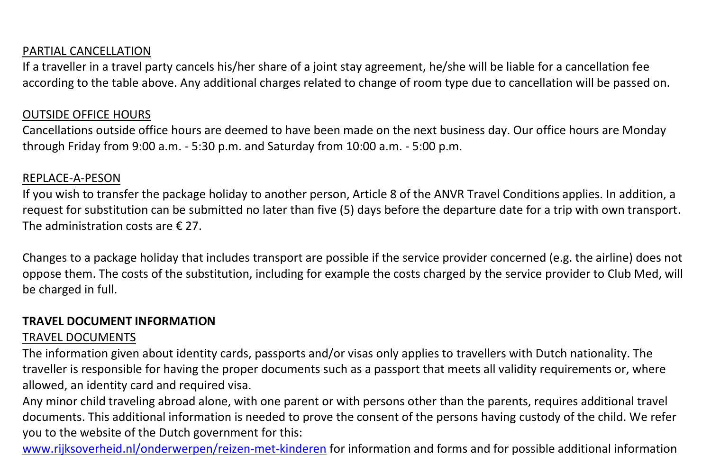### PARTIAL CANCELLATION

If a traveller in a travel party cancels his/her share of a joint stay agreement, he/she will be liable for a cancellation fee according to the table above. Any additional charges related to change of room type due to cancellation will be passed on.

#### OUTSIDE OFFICE HOURS

Cancellations outside office hours are deemed to have been made on the next business day. Our office hours are Monday through Friday from 9:00 a.m. - 5:30 p.m. and Saturday from 10:00 a.m. - 5:00 p.m.

#### REPLACE-A-PESON

If you wish to transfer the package holiday to another person, Article 8 of the ANVR Travel Conditions applies. In addition, a request for substitution can be submitted no later than five (5) days before the departure date for a trip with own transport. The administration costs are € 27.

Changes to a package holiday that includes transport are possible if the service provider concerned (e.g. the airline) does not oppose them. The costs of the substitution, including for example the costs charged by the service provider to Club Med, will be charged in full.

### **TRAVEL DOCUMENT INFORMATION**

### TRAVEL DOCUMENTS

The information given about identity cards, passports and/or visas only applies to travellers with Dutch nationality. The traveller is responsible for having the proper documents such as a passport that meets all validity requirements or, where allowed, an identity card and required visa.

Any minor child traveling abroad alone, with one parent or with persons other than the parents, requires additional travel documents. This additional information is needed to prove the consent of the persons having custody of the child. We refer you to the website of the Dutch government for this:

[www.rijksoverheid.nl/onderwerpen/reizen-met-kinderen](http://www.rijksoverheid.nl/onderwerpen/reizen-met-kinderen) for information and forms and for possible additional information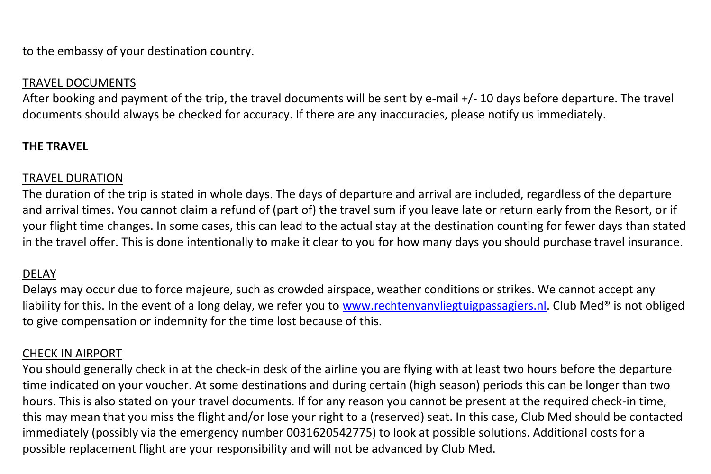to the embassy of your destination country.

## TRAVEL DOCUMENTS

After booking and payment of the trip, the travel documents will be sent by e-mail +/- 10 days before departure. The travel documents should always be checked for accuracy. If there are any inaccuracies, please notify us immediately.

### **THE TRAVEL**

#### TRAVEL DURATION

The duration of the trip is stated in whole days. The days of departure and arrival are included, regardless of the departure and arrival times. You cannot claim a refund of (part of) the travel sum if you leave late or return early from the Resort, or if your flight time changes. In some cases, this can lead to the actual stay at the destination counting for fewer days than stated in the travel offer. This is done intentionally to make it clear to you for how many days you should purchase travel insurance.

### DELAY

Delays may occur due to force majeure, such as crowded airspace, weather conditions or strikes. We cannot accept any liability for this. In the event of a long delay, we refer you to [www.rechtenvanvliegtuigpassagiers.nl.](http://www.rechtenvanvliegtuigpassagiers.nl/) Club Med® is not obliged to give compensation or indemnity for the time lost because of this.

#### CHECK IN AIRPORT

You should generally check in at the check-in desk of the airline you are flying with at least two hours before the departure time indicated on your voucher. At some destinations and during certain (high season) periods this can be longer than two hours. This is also stated on your travel documents. If for any reason you cannot be present at the required check-in time, this may mean that you miss the flight and/or lose your right to a (reserved) seat. In this case, Club Med should be contacted immediately (possibly via the emergency number 0031620542775) to look at possible solutions. Additional costs for a possible replacement flight are your responsibility and will not be advanced by Club Med.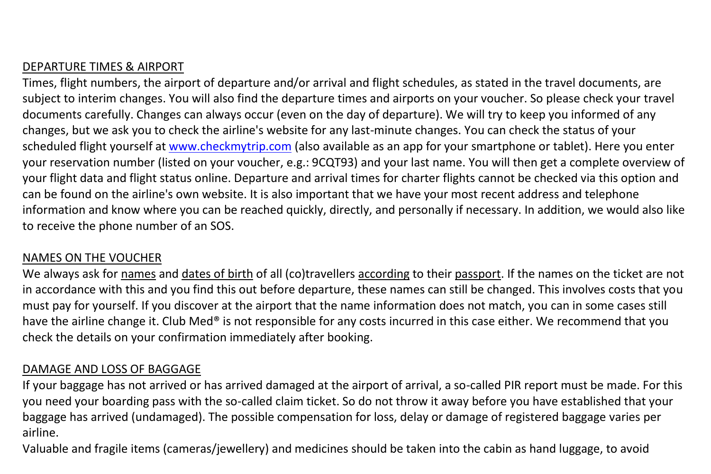# DEPARTURE TIMES & AIRPORT

Times, flight numbers, the airport of departure and/or arrival and flight schedules, as stated in the travel documents, are subject to interim changes. You will also find the departure times and airports on your voucher. So please check your travel documents carefully. Changes can always occur (even on the day of departure). We will try to keep you informed of any changes, but we ask you to check the airline's website for any last-minute changes. You can check the status of your scheduled flight yourself a[t www.checkmytrip.com](http://www.checkmytrip.com/) (also available as an app for your smartphone or tablet). Here you enter your reservation number (listed on your voucher, e.g.: 9CQT93) and your last name. You will then get a complete overview of your flight data and flight status online. Departure and arrival times for charter flights cannot be checked via this option and can be found on the airline's own website. It is also important that we have your most recent address and telephone information and know where you can be reached quickly, directly, and personally if necessary. In addition, we would also like to receive the phone number of an SOS.

### NAMES ON THE VOUCHER

We always ask for names and dates of birth of all (co)travellers according to their passport. If the names on the ticket are not in accordance with this and you find this out before departure, these names can still be changed. This involves costs that you must pay for yourself. If you discover at the airport that the name information does not match, you can in some cases still have the airline change it. Club Med<sup>®</sup> is not responsible for any costs incurred in this case either. We recommend that you check the details on your confirmation immediately after booking.

### DAMAGE AND LOSS OF BAGGAGE

If your baggage has not arrived or has arrived damaged at the airport of arrival, a so-called PIR report must be made. For this you need your boarding pass with the so-called claim ticket. So do not throw it away before you have established that your baggage has arrived (undamaged). The possible compensation for loss, delay or damage of registered baggage varies per airline.

Valuable and fragile items (cameras/jewellery) and medicines should be taken into the cabin as hand luggage, to avoid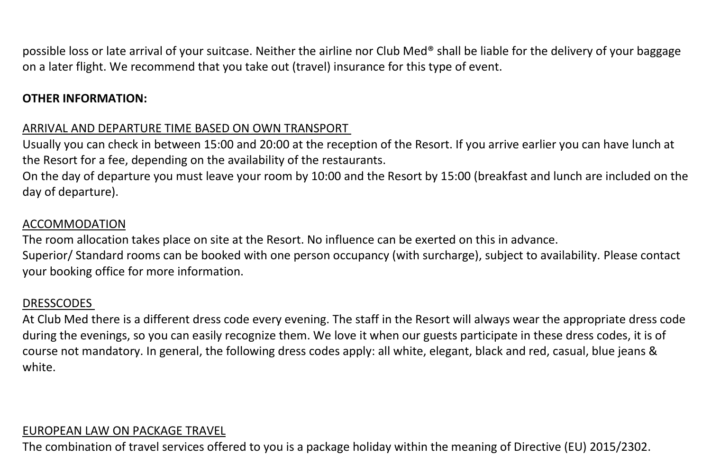possible loss or late arrival of your suitcase. Neither the airline nor Club Med® shall be liable for the delivery of your baggage on a later flight. We recommend that you take out (travel) insurance for this type of event.

## **OTHER INFORMATION:**

# ARRIVAL AND DEPARTURE TIME BASED ON OWN TRANSPORT

Usually you can check in between 15:00 and 20:00 at the reception of the Resort. If you arrive earlier you can have lunch at the Resort for a fee, depending on the availability of the restaurants.

On the day of departure you must leave your room by 10:00 and the Resort by 15:00 (breakfast and lunch are included on the day of departure).

### ACCOMMODATION

The room allocation takes place on site at the Resort. No influence can be exerted on this in advance. Superior/ Standard rooms can be booked with one person occupancy (with surcharge), subject to availability. Please contact your booking office for more information.

### DRESSCODES

At Club Med there is a different dress code every evening. The staff in the Resort will always wear the appropriate dress code during the evenings, so you can easily recognize them. We love it when our guests participate in these dress codes, it is of course not mandatory. In general, the following dress codes apply: all white, elegant, black and red, casual, blue jeans & white.

# EUROPEAN LAW ON PACKAGE TRAVEL

The combination of travel services offered to you is a package holiday within the meaning of Directive (EU) 2015/2302.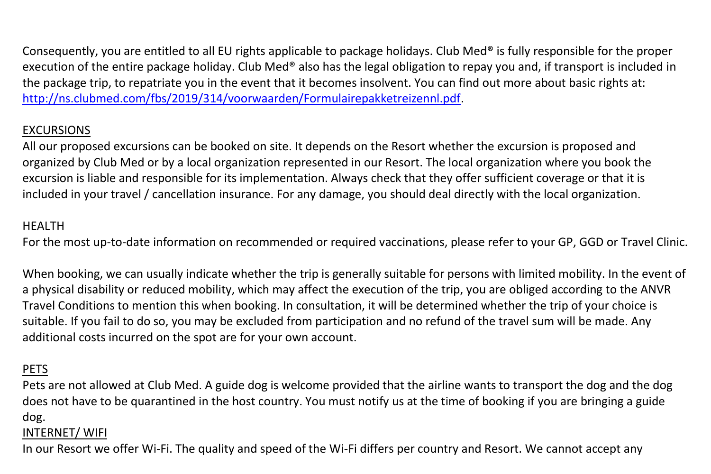Consequently, you are entitled to all EU rights applicable to package holidays. Club Med<sup>®</sup> is fully responsible for the proper execution of the entire package holiday. Club Med® also has the legal obligation to repay you and, if transport is included in the package trip, to repatriate you in the event that it becomes insolvent. You can find out more about basic rights at: [http://ns.clubmed.com/fbs/2019/314/voorwaarden/Formulairepakketreizennl.pdf.](http://ns.clubmed.com/fbs/2019/314/voorwaarden/Formulairepakketreizennl.pdf)

# EXCURSIONS

All our proposed excursions can be booked on site. It depends on the Resort whether the excursion is proposed and organized by Club Med or by a local organization represented in our Resort. The local organization where you book the excursion is liable and responsible for its implementation. Always check that they offer sufficient coverage or that it is included in your travel / cancellation insurance. For any damage, you should deal directly with the local organization.

## HEALTH

For the most up-to-date information on recommended or required vaccinations, please refer to your GP, GGD or Travel Clinic.

When booking, we can usually indicate whether the trip is generally suitable for persons with limited mobility. In the event of a physical disability or reduced mobility, which may affect the execution of the trip, you are obliged according to the ANVR Travel Conditions to mention this when booking. In consultation, it will be determined whether the trip of your choice is suitable. If you fail to do so, you may be excluded from participation and no refund of the travel sum will be made. Any additional costs incurred on the spot are for your own account.

# PETS

Pets are not allowed at Club Med. A guide dog is welcome provided that the airline wants to transport the dog and the dog does not have to be quarantined in the host country. You must notify us at the time of booking if you are bringing a guide dog.

### INTERNET/ WIFI

In our Resort we offer Wi-Fi. The quality and speed of the Wi-Fi differs per country and Resort. We cannot accept any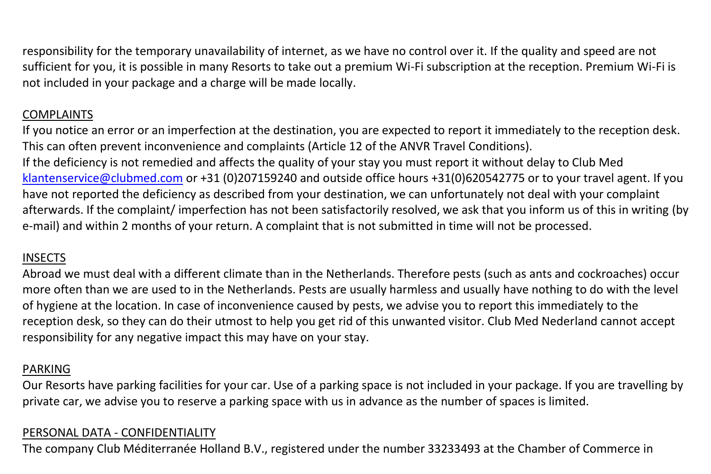responsibility for the temporary unavailability of internet, as we have no control over it. If the quality and speed are not sufficient for you, it is possible in many Resorts to take out a premium Wi-Fi subscription at the reception. Premium Wi-Fi is not included in your package and a charge will be made locally.

# COMPLAINTS

If you notice an error or an imperfection at the destination, you are expected to report it immediately to the reception desk. This can often prevent inconvenience and complaints (Article 12 of the ANVR Travel Conditions). If the deficiency is not remedied and affects the quality of your stay you must report it without delay to Club Med [klantenservice@clubmed.com](mailto:klantenservice@clubmed.com) or +31 (0)207159240 and outside office hours +31(0)620542775 or to your travel agent. If you have not reported the deficiency as described from your destination, we can unfortunately not deal with your complaint afterwards. If the complaint/ imperfection has not been satisfactorily resolved, we ask that you inform us of this in writing (by e-mail) and within 2 months of your return. A complaint that is not submitted in time will not be processed.

# INSECTS

Abroad we must deal with a different climate than in the Netherlands. Therefore pests (such as ants and cockroaches) occur more often than we are used to in the Netherlands. Pests are usually harmless and usually have nothing to do with the level of hygiene at the location. In case of inconvenience caused by pests, we advise you to report this immediately to the reception desk, so they can do their utmost to help you get rid of this unwanted visitor. Club Med Nederland cannot accept responsibility for any negative impact this may have on your stay.

# PARKING

Our Resorts have parking facilities for your car. Use of a parking space is not included in your package. If you are travelling by private car, we advise you to reserve a parking space with us in advance as the number of spaces is limited.

## PERSONAL DATA - CONFIDENTIALITY

The company Club Méditerranée Holland B.V., registered under the number 33233493 at the Chamber of Commerce in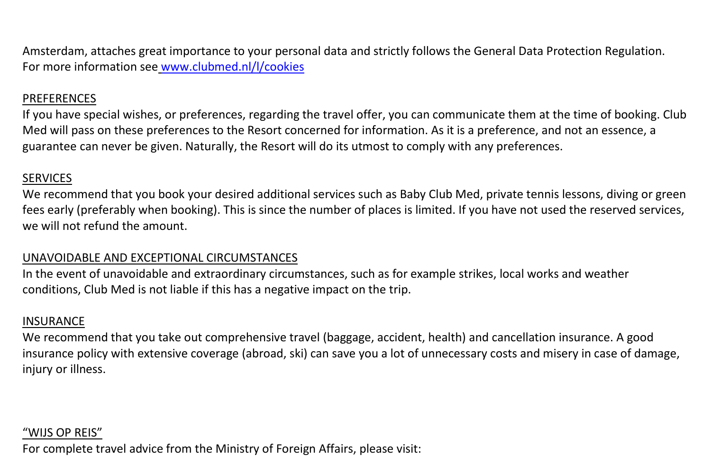Amsterdam, attaches great importance to your personal data and strictly follows the General Data Protection Regulation. For more information see [www.clubmed.nl/l/cookies](http://www.clubmed.nl/l/cookies)

### PREFERENCES

If you have special wishes, or preferences, regarding the travel offer, you can communicate them at the time of booking. Club Med will pass on these preferences to the Resort concerned for information. As it is a preference, and not an essence, a guarantee can never be given. Naturally, the Resort will do its utmost to comply with any preferences.

### **SERVICES**

We recommend that you book your desired additional services such as Baby Club Med, private tennis lessons, diving or green fees early (preferably when booking). This is since the number of places is limited. If you have not used the reserved services, we will not refund the amount.

### UNAVOIDABLE AND EXCEPTIONAL CIRCUMSTANCES

In the event of unavoidable and extraordinary circumstances, such as for example strikes, local works and weather conditions, Club Med is not liable if this has a negative impact on the trip.

### **INSURANCE**

We recommend that you take out comprehensive travel (baggage, accident, health) and cancellation insurance. A good insurance policy with extensive coverage (abroad, ski) can save you a lot of unnecessary costs and misery in case of damage, injury or illness.

### "WIJS OP REIS"

For complete travel advice from the Ministry of Foreign Affairs, please visit: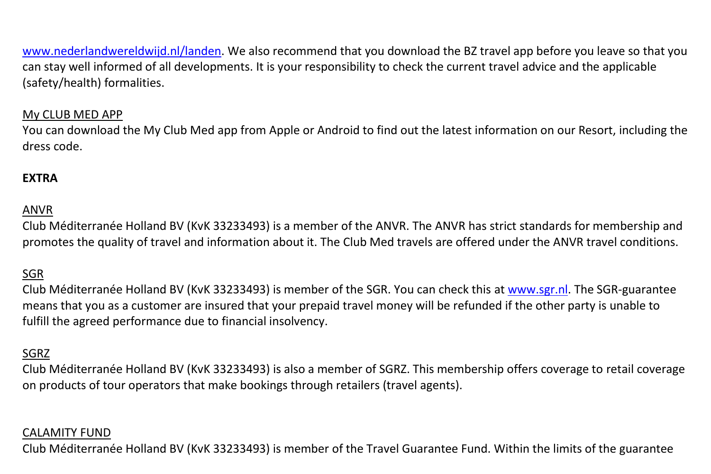[www.nederlandwereldwijd.nl/landen.](http://www.nederlandwereldwijd.nl/landen) We also recommend that you download the BZ travel app before you leave so that you can stay well informed of all developments. It is your responsibility to check the current travel advice and the applicable (safety/health) formalities.

### My CLUB MED APP

You can download the My Club Med app from Apple or Android to find out the latest information on our Resort, including the dress code.

## **EXTRA**

### ANVR

Club Méditerranée Holland BV (KvK 33233493) is a member of the ANVR. The ANVR has strict standards for membership and promotes the quality of travel and information about it. The Club Med travels are offered under the ANVR travel conditions.

### SGR

Club Méditerranée Holland BV (KvK 33233493) is member of the SGR. You can check this a[t www.sgr.nl.](http://www.sgr.nl/) The SGR-guarantee means that you as a customer are insured that your prepaid travel money will be refunded if the other party is unable to fulfill the agreed performance due to financial insolvency.

### SGRZ

Club Méditerranée Holland BV (KvK 33233493) is also a member of SGRZ. This membership offers coverage to retail coverage on products of tour operators that make bookings through retailers (travel agents).

#### CALAMITY FUND

Club Méditerranée Holland BV (KvK 33233493) is member of the Travel Guarantee Fund. Within the limits of the guarantee